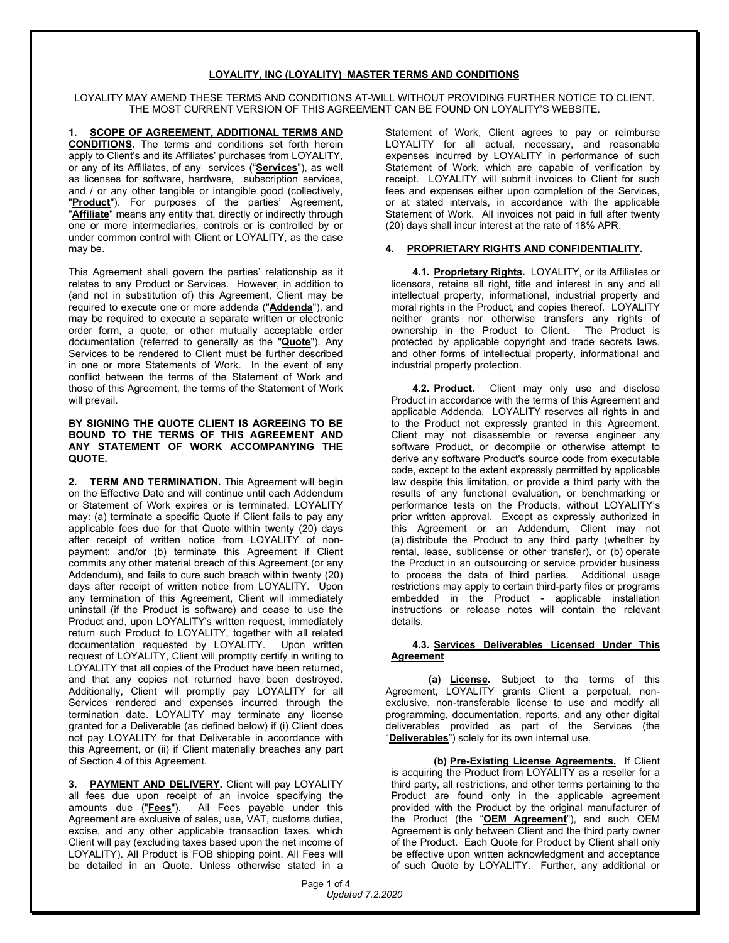## **LOYALITY, INC (LOYALITY) MASTER TERMS AND CONDITIONS**

LOYALITY MAY AMEND THESE TERMS AND CONDITIONS AT-WILL WITHOUT PROVIDING FURTHER NOTICE TO CLIENT. THE MOST CURRENT VERSION OF THIS AGREEMENT CAN BE FOUND ON LOYALITY'S WEBSITE.

**1. SCOPE OF AGREEMENT, ADDITIONAL TERMS AND CONDITIONS.** The terms and conditions set forth herein apply to Client's and its Affiliates' purchases from LOYALITY, or any of its Affiliates, of any services ("**Services**"), as well as licenses for software, hardware, subscription services, and / or any other tangible or intangible good (collectively, "**Product**"). For purposes of the parties' Agreement, "**Affiliate**" means any entity that, directly or indirectly through one or more intermediaries, controls or is controlled by or under common control with Client or LOYALITY, as the case may be.

This Agreement shall govern the parties' relationship as it relates to any Product or Services. However, in addition to (and not in substitution of) this Agreement, Client may be required to execute one or more addenda ("**Addenda**"), and may be required to execute a separate written or electronic order form, a quote, or other mutually acceptable order documentation (referred to generally as the "**Quote**"). Any Services to be rendered to Client must be further described in one or more Statements of Work. In the event of any conflict between the terms of the Statement of Work and those of this Agreement, the terms of the Statement of Work will prevail.

#### **BY SIGNING THE QUOTE CLIENT IS AGREEING TO BE BOUND TO THE TERMS OF THIS AGREEMENT AND ANY STATEMENT OF WORK ACCOMPANYING THE QUOTE.**

**2. TERM AND TERMINATION.** This Agreement will begin on the Effective Date and will continue until each Addendum or Statement of Work expires or is terminated. LOYALITY may: (a) terminate a specific Quote if Client fails to pay any applicable fees due for that Quote within twenty (20) days after receipt of written notice from LOYALITY of nonpayment; and/or (b) terminate this Agreement if Client commits any other material breach of this Agreement (or any Addendum), and fails to cure such breach within twenty (20) days after receipt of written notice from LOYALITY. Upon any termination of this Agreement, Client will immediately uninstall (if the Product is software) and cease to use the Product and, upon LOYALITY's written request, immediately return such Product to LOYALITY, together with all related documentation requested by LOYALITY. Upon written request of LOYALITY, Client will promptly certify in writing to LOYALITY that all copies of the Product have been returned, and that any copies not returned have been destroyed. Additionally, Client will promptly pay LOYALITY for all Services rendered and expenses incurred through the termination date. LOYALITY may terminate any license granted for a Deliverable (as defined below) if (i) Client does not pay LOYALITY for that Deliverable in accordance with this Agreement, or (ii) if Client materially breaches any part of Section 4 of this Agreement.

**3. PAYMENT AND DELIVERY.** Client will pay LOYALITY all fees due upon receipt of an invoice specifying the amounts due ("**Fees**"). All Fees payable under this Agreement are exclusive of sales, use, VAT, customs duties, excise, and any other applicable transaction taxes, which Client will pay (excluding taxes based upon the net income of LOYALITY). All Product is FOB shipping point. All Fees will be detailed in an Quote. Unless otherwise stated in a

Statement of Work, Client agrees to pay or reimburse LOYALITY for all actual, necessary, and reasonable expenses incurred by LOYALITY in performance of such Statement of Work, which are capable of verification by receipt. LOYALITY will submit invoices to Client for such fees and expenses either upon completion of the Services, or at stated intervals, in accordance with the applicable Statement of Work. All invoices not paid in full after twenty (20) days shall incur interest at the rate of 18% APR.

# **4. PROPRIETARY RIGHTS AND CONFIDENTIALITY.**

**4.1. Proprietary Rights.** LOYALITY, or its Affiliates or licensors, retains all right, title and interest in any and all intellectual property, informational, industrial property and moral rights in the Product, and copies thereof. LOYALITY neither grants nor otherwise transfers any rights of ownership in the Product to Client. The Product is protected by applicable copyright and trade secrets laws, and other forms of intellectual property, informational and industrial property protection.

**4.2. Product.** Client may only use and disclose Product in accordance with the terms of this Agreement and applicable Addenda. LOYALITY reserves all rights in and to the Product not expressly granted in this Agreement. Client may not disassemble or reverse engineer any software Product, or decompile or otherwise attempt to derive any software Product's source code from executable code, except to the extent expressly permitted by applicable law despite this limitation, or provide a third party with the results of any functional evaluation, or benchmarking or performance tests on the Products, without LOYALITY's prior written approval. Except as expressly authorized in this Agreement or an Addendum, Client may not (a) distribute the Product to any third party (whether by rental, lease, sublicense or other transfer), or (b) operate the Product in an outsourcing or service provider business to process the data of third parties. Additional usage restrictions may apply to certain third-party files or programs embedded in the Product - applicable installation instructions or release notes will contain the relevant details.

## **4.3. Services Deliverables Licensed Under This Agreement**

**(a) License.** Subject to the terms of this Agreement, LOYALITY grants Client a perpetual, nonexclusive, non-transferable license to use and modify all programming, documentation, reports, and any other digital deliverables provided as part of the Services (the "**Deliverables**") solely for its own internal use.

**(b) Pre-Existing License Agreements.** If Client is acquiring the Product from LOYALITY as a reseller for a third party, all restrictions, and other terms pertaining to the Product are found only in the applicable agreement provided with the Product by the original manufacturer of the Product (the "**OEM Agreement**"), and such OEM Agreement is only between Client and the third party owner of the Product. Each Quote for Product by Client shall only be effective upon written acknowledgment and acceptance of such Quote by LOYALITY. Further, any additional or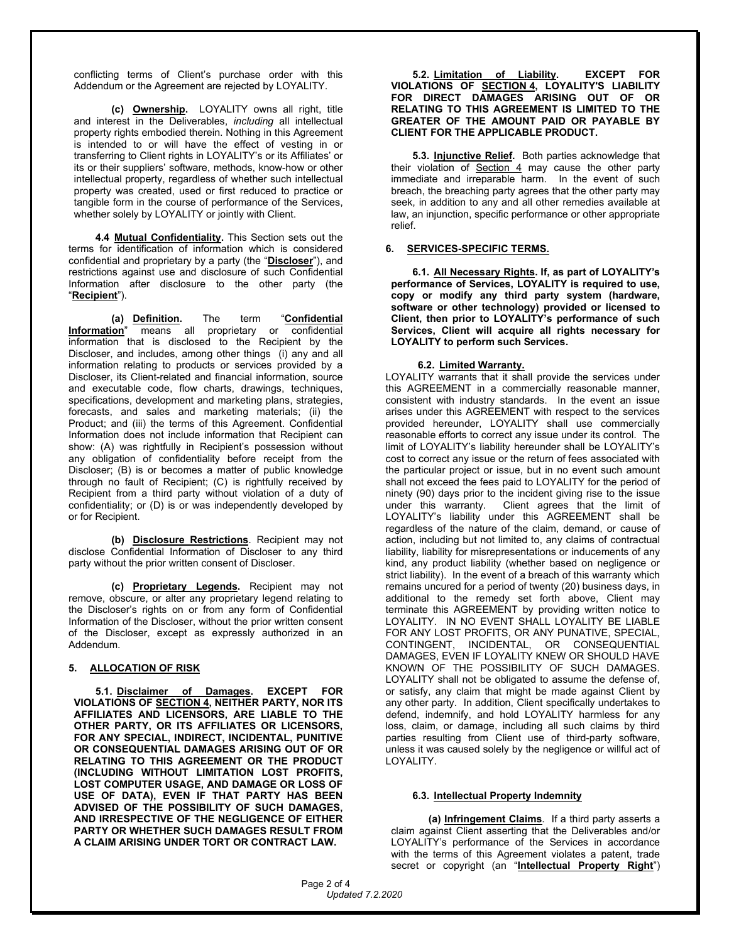conflicting terms of Client's purchase order with this Addendum or the Agreement are rejected by LOYALITY.

**(c) Ownership.** LOYALITY owns all right, title and interest in the Deliverables, *including* all intellectual property rights embodied therein. Nothing in this Agreement is intended to or will have the effect of vesting in or transferring to Client rights in LOYALITY's or its Affiliates' or its or their suppliers' software, methods, know-how or other intellectual property, regardless of whether such intellectual property was created, used or first reduced to practice or tangible form in the course of performance of the Services, whether solely by LOYALITY or jointly with Client.

**4.4 Mutual Confidentiality.** This Section sets out the terms for identification of information which is considered confidential and proprietary by a party (the "**Discloser**"), and restrictions against use and disclosure of such Confidential Information after disclosure to the other party (the "**Recipient**").

**(a) Definition.** The term "**Confidential Information**" means all proprietary or confidential information that is disclosed to the Recipient by the Discloser, and includes, among other things (i) any and all information relating to products or services provided by a Discloser, its Client-related and financial information, source and executable code, flow charts, drawings, techniques, specifications, development and marketing plans, strategies, forecasts, and sales and marketing materials; (ii) the Product; and (iii) the terms of this Agreement. Confidential Information does not include information that Recipient can show: (A) was rightfully in Recipient's possession without any obligation of confidentiality before receipt from the Discloser; (B) is or becomes a matter of public knowledge through no fault of Recipient; (C) is rightfully received by Recipient from a third party without violation of a duty of confidentiality; or (D) is or was independently developed by or for Recipient.

**(b) Disclosure Restrictions**. Recipient may not disclose Confidential Information of Discloser to any third party without the prior written consent of Discloser.

**(c) Proprietary Legends.** Recipient may not remove, obscure, or alter any proprietary legend relating to the Discloser's rights on or from any form of Confidential Information of the Discloser, without the prior written consent of the Discloser, except as expressly authorized in an Addendum.

#### **5. ALLOCATION OF RISK**

**5.1. Disclaimer of Damages. EXCEPT FOR VIOLATIONS OF SECTION 4, NEITHER PARTY, NOR ITS AFFILIATES AND LICENSORS, ARE LIABLE TO THE OTHER PARTY, OR ITS AFFILIATES OR LICENSORS, FOR ANY SPECIAL, INDIRECT, INCIDENTAL, PUNITIVE OR CONSEQUENTIAL DAMAGES ARISING OUT OF OR RELATING TO THIS AGREEMENT OR THE PRODUCT (INCLUDING WITHOUT LIMITATION LOST PROFITS, LOST COMPUTER USAGE, AND DAMAGE OR LOSS OF USE OF DATA), EVEN IF THAT PARTY HAS BEEN ADVISED OF THE POSSIBILITY OF SUCH DAMAGES, AND IRRESPECTIVE OF THE NEGLIGENCE OF EITHER PARTY OR WHETHER SUCH DAMAGES RESULT FROM A CLAIM ARISING UNDER TORT OR CONTRACT LAW.**

**5.2. Limitation of Liability. EXCEPT FOR VIOLATIONS OF SECTION 4, LOYALITY'S LIABILITY FOR DIRECT DAMAGES ARISING OUT OF OR RELATING TO THIS AGREEMENT IS LIMITED TO THE GREATER OF THE AMOUNT PAID OR PAYABLE BY CLIENT FOR THE APPLICABLE PRODUCT.** 

**5.3. Injunctive Relief.** Both parties acknowledge that their violation of Section 4 may cause the other party immediate and irreparable harm. In the event of such breach, the breaching party agrees that the other party may seek, in addition to any and all other remedies available at law, an injunction, specific performance or other appropriate relief.

#### **6. SERVICES-SPECIFIC TERMS.**

**6.1. All Necessary Rights. If, as part of LOYALITY's performance of Services, LOYALITY is required to use, copy or modify any third party system (hardware, software or other technology) provided or licensed to Client, then prior to LOYALITY's performance of such Services, Client will acquire all rights necessary for LOYALITY to perform such Services.**

## **6.2. Limited Warranty.**

LOYALITY warrants that it shall provide the services under this AGREEMENT in a commercially reasonable manner, consistent with industry standards. In the event an issue arises under this AGREEMENT with respect to the services provided hereunder, LOYALITY shall use commercially reasonable efforts to correct any issue under its control. The limit of LOYALITY's liability hereunder shall be LOYALITY's cost to correct any issue or the return of fees associated with the particular project or issue, but in no event such amount shall not exceed the fees paid to LOYALITY for the period of ninety (90) days prior to the incident giving rise to the issue under this warranty. Client agrees that the limit of LOYALITY's liability under this AGREEMENT shall be regardless of the nature of the claim, demand, or cause of action, including but not limited to, any claims of contractual liability, liability for misrepresentations or inducements of any kind, any product liability (whether based on negligence or strict liability). In the event of a breach of this warranty which remains uncured for a period of twenty (20) business days, in additional to the remedy set forth above, Client may terminate this AGREEMENT by providing written notice to LOYALITY. IN NO EVENT SHALL LOYALITY BE LIABLE FOR ANY LOST PROFITS, OR ANY PUNATIVE, SPECIAL, CONTINGENT, INCIDENTAL, OR CONSEQUENTIAL DAMAGES, EVEN IF LOYALITY KNEW OR SHOULD HAVE KNOWN OF THE POSSIBILITY OF SUCH DAMAGES. LOYALITY shall not be obligated to assume the defense of, or satisfy, any claim that might be made against Client by any other party. In addition, Client specifically undertakes to defend, indemnify, and hold LOYALITY harmless for any loss, claim, or damage, including all such claims by third parties resulting from Client use of third-party software, unless it was caused solely by the negligence or willful act of LOYALITY.

#### **6.3. Intellectual Property Indemnity**

**(a) Infringement Claims**. If a third party asserts a claim against Client asserting that the Deliverables and/or LOYALITY's performance of the Services in accordance with the terms of this Agreement violates a patent, trade secret or copyright (an "**Intellectual Property Right**")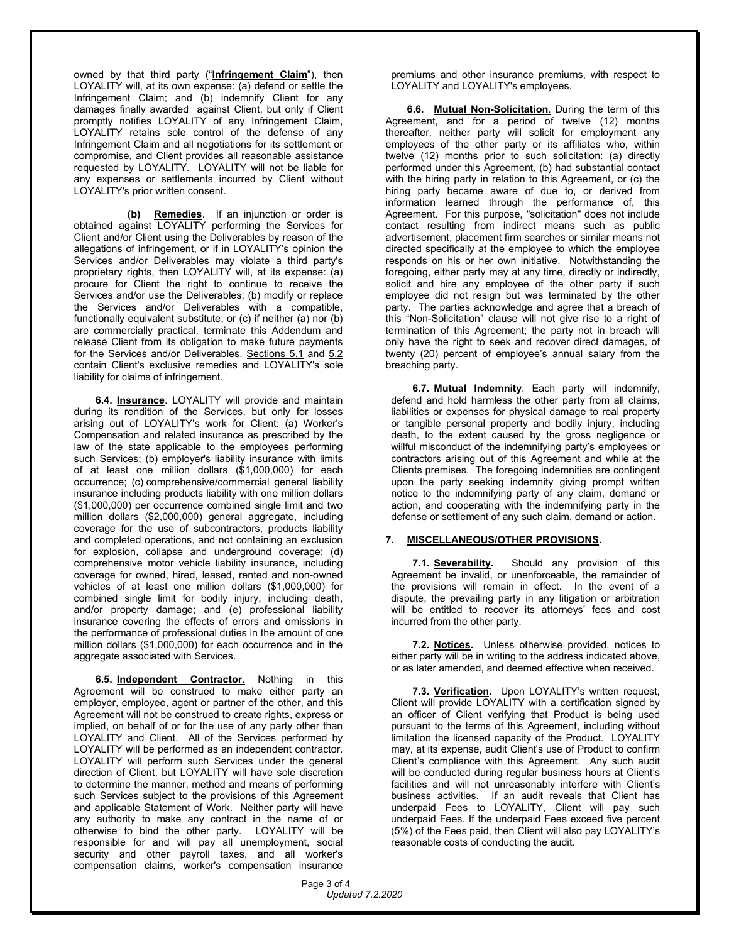owned by that third party ("**Infringement Claim**"), then LOYALITY will, at its own expense: (a) defend or settle the Infringement Claim; and (b) indemnify Client for any damages finally awarded against Client, but only if Client promptly notifies LOYALITY of any Infringement Claim, LOYALITY retains sole control of the defense of any Infringement Claim and all negotiations for its settlement or compromise, and Client provides all reasonable assistance requested by LOYALITY. LOYALITY will not be liable for any expenses or settlements incurred by Client without LOYALITY's prior written consent.

**(b) Remedies**. If an injunction or order is obtained against LOYALITY performing the Services for Client and/or Client using the Deliverables by reason of the allegations of infringement, or if in LOYALITY's opinion the Services and/or Deliverables may violate a third party's proprietary rights, then LOYALITY will, at its expense: (a) procure for Client the right to continue to receive the Services and/or use the Deliverables; (b) modify or replace the Services and/or Deliverables with a compatible, functionally equivalent substitute; or (c) if neither (a) nor (b) are commercially practical, terminate this Addendum and release Client from its obligation to make future payments for the Services and/or Deliverables. Sections 5.1 and 5.2 contain Client's exclusive remedies and LOYALITY's sole liability for claims of infringement.

**6.4. Insurance**. LOYALITY will provide and maintain during its rendition of the Services, but only for losses arising out of LOYALITY's work for Client: (a) Worker's Compensation and related insurance as prescribed by the law of the state applicable to the employees performing such Services; (b) employer's liability insurance with limits of at least one million dollars (\$1,000,000) for each occurrence; (c) comprehensive/commercial general liability insurance including products liability with one million dollars (\$1,000,000) per occurrence combined single limit and two million dollars (\$2,000,000) general aggregate, including coverage for the use of subcontractors, products liability and completed operations, and not containing an exclusion for explosion, collapse and underground coverage; (d) comprehensive motor vehicle liability insurance, including coverage for owned, hired, leased, rented and non-owned vehicles of at least one million dollars (\$1,000,000) for combined single limit for bodily injury, including death, and/or property damage; and (e) professional liability insurance covering the effects of errors and omissions in the performance of professional duties in the amount of one million dollars (\$1,000,000) for each occurrence and in the aggregate associated with Services.

**6.5. Independent Contractor**. Nothing in this Agreement will be construed to make either party an employer, employee, agent or partner of the other, and this Agreement will not be construed to create rights, express or implied, on behalf of or for the use of any party other than LOYALITY and Client. All of the Services performed by LOYALITY will be performed as an independent contractor. LOYALITY will perform such Services under the general direction of Client, but LOYALITY will have sole discretion to determine the manner, method and means of performing such Services subject to the provisions of this Agreement and applicable Statement of Work. Neither party will have any authority to make any contract in the name of or otherwise to bind the other party. LOYALITY will be responsible for and will pay all unemployment, social security and other payroll taxes, and all worker's compensation claims, worker's compensation insurance

premiums and other insurance premiums, with respect to LOYALITY and LOYALITY's employees.

**6.6. Mutual Non-Solicitation**. During the term of this Agreement, and for a period of twelve (12) months thereafter, neither party will solicit for employment any employees of the other party or its affiliates who, within twelve (12) months prior to such solicitation: (a) directly performed under this Agreement, (b) had substantial contact with the hiring party in relation to this Agreement, or (c) the hiring party became aware of due to, or derived from information learned through the performance of, this Agreement. For this purpose, "solicitation" does not include contact resulting from indirect means such as public advertisement, placement firm searches or similar means not directed specifically at the employee to which the employee responds on his or her own initiative. Notwithstanding the foregoing, either party may at any time, directly or indirectly, solicit and hire any employee of the other party if such employee did not resign but was terminated by the other party. The parties acknowledge and agree that a breach of this "Non-Solicitation" clause will not give rise to a right of termination of this Agreement; the party not in breach will only have the right to seek and recover direct damages, of twenty (20) percent of employee's annual salary from the breaching party.

**6.7. Mutual Indemnity**. Each party will indemnify, defend and hold harmless the other party from all claims, liabilities or expenses for physical damage to real property or tangible personal property and bodily injury, including death, to the extent caused by the gross negligence or willful misconduct of the indemnifying party's employees or contractors arising out of this Agreement and while at the Clients premises. The foregoing indemnities are contingent upon the party seeking indemnity giving prompt written notice to the indemnifying party of any claim, demand or action, and cooperating with the indemnifying party in the defense or settlement of any such claim, demand or action.

#### **7. MISCELLANEOUS/OTHER PROVISIONS.**

**7.1. Severability.** Should any provision of this Agreement be invalid, or unenforceable, the remainder of the provisions will remain in effect. In the event of a dispute, the prevailing party in any litigation or arbitration will be entitled to recover its attorneys' fees and cost incurred from the other party.

**7.2. Notices.** Unless otherwise provided, notices to either party will be in writing to the address indicated above, or as later amended, and deemed effective when received.

**7.3. Verification.** Upon LOYALITY's written request, Client will provide LOYALITY with a certification signed by an officer of Client verifying that Product is being used pursuant to the terms of this Agreement, including without limitation the licensed capacity of the Product. LOYALITY may, at its expense, audit Client's use of Product to confirm Client's compliance with this Agreement. Any such audit will be conducted during regular business hours at Client's facilities and will not unreasonably interfere with Client's business activities. If an audit reveals that Client has underpaid Fees to LOYALITY, Client will pay such underpaid Fees. If the underpaid Fees exceed five percent (5%) of the Fees paid, then Client will also pay LOYALITY's reasonable costs of conducting the audit.